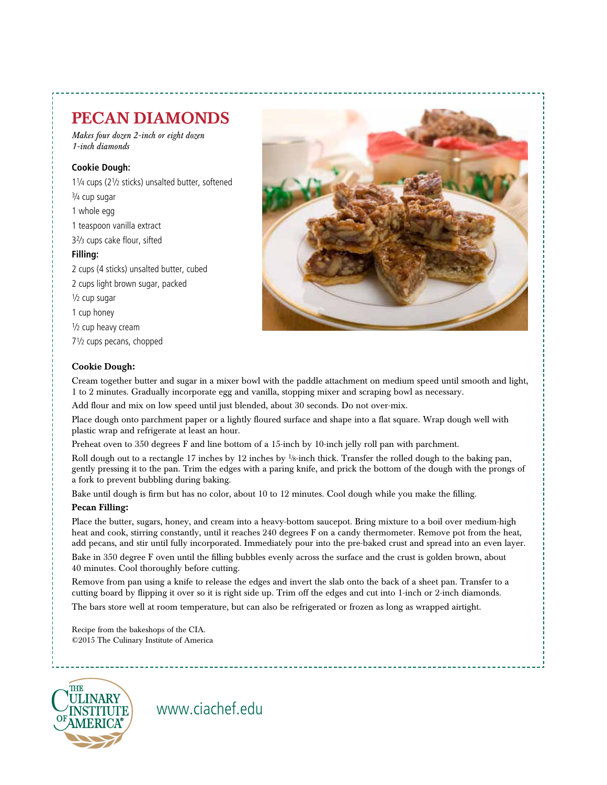# PECAN DIAMONDS

*Makes four dozen 2-inch or eight dozen 1-inch diamonds*

### **Cookie Dough:**

11⁄4 cups (21⁄2 sticks) unsalted butter, softened 3⁄4 cup sugar 1 whole egg 1 teaspoon vanilla extract 32⁄3 cups cake flour, sifted **Filling:** 2 cups (4 sticks) unsalted butter, cubed 2 cups light brown sugar, packed  $\frac{1}{2}$  cup sugar 1 cup honey

1/<sub>2</sub> cup heavy cream

71⁄2 cups pecans, chopped

#### Cookie Dough:

Cream together butter and sugar in a mixer bowl with the paddle attachment on medium speed until smooth and light, 1 to 2 minutes. Gradually incorporate egg and vanilla, stopping mixer and scraping bowl as necessary.

Add flour and mix on low speed until just blended, about 30 seconds. Do not over-mix.

Place dough onto parchment paper or a lightly floured surface and shape into a flat square. Wrap dough well with plastic wrap and refrigerate at least an hour.

Preheat oven to 350 degrees F and line bottom of a 15-inch by 10-inch jelly roll pan with parchment.

Roll dough out to a rectangle 17 inches by 12 inches by <sup>1</sup>/8-inch thick. Transfer the rolled dough to the baking pan, gently pressing it to the pan. Trim the edges with a paring knife, and prick the bottom of the dough with the prongs of a fork to prevent bubbling during baking.

Bake until dough is firm but has no color, about 10 to 12 minutes. Cool dough while you make the filling.

### Pecan Filling:

Place the butter, sugars, honey, and cream into a heavy-bottom saucepot. Bring mixture to a boil over medium-high heat and cook, stirring constantly, until it reaches 240 degrees F on a candy thermometer. Remove pot from the heat, add pecans, and stir until fully incorporated. Immediately pour into the pre-baked crust and spread into an even layer. Bake in 350 degree F oven until the filling bubbles evenly across the surface and the crust is golden brown, about 40 minutes. Cool thoroughly before cutting.

Remove from pan using a knife to release the edges and invert the slab onto the back of a sheet pan. Transfer to a cutting board by flipping it over so it is right side up. Trim off the edges and cut into 1-inch or 2-inch diamonds. The bars store well at room temperature, but can also be refrigerated or frozen as long as wrapped airtight.

Recipe from the bakeshops of the CIA. ©2015 The Culinary Institute of America

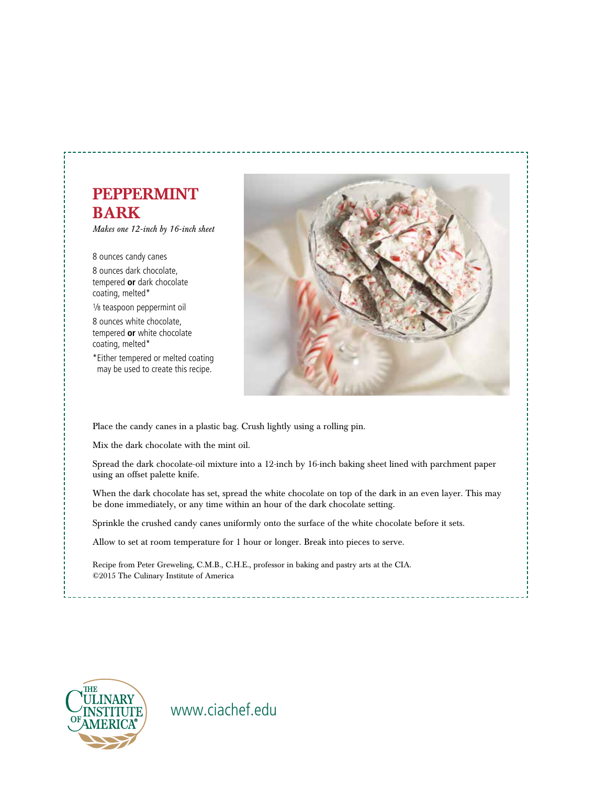## PEPPERMINT BARK

*Makes one 12-inch by 16-inch sheet*

8 ounces candy canes 8 ounces dark chocolate, tempered **or** dark chocolate coating, melted\*

1⁄8 teaspoon peppermint oil

8 ounces white chocolate, tempered **or** white chocolate coating, melted\*

\*Either tempered or melted coating may be used to create this recipe.



Place the candy canes in a plastic bag. Crush lightly using a rolling pin.

Mix the dark chocolate with the mint oil.

Spread the dark chocolate-oil mixture into a 12-inch by 16-inch baking sheet lined with parchment paper using an offset palette knife.

When the dark chocolate has set, spread the white chocolate on top of the dark in an even layer. This may be done immediately, or any time within an hour of the dark chocolate setting.

Sprinkle the crushed candy canes uniformly onto the surface of the white chocolate before it sets.

Allow to set at room temperature for 1 hour or longer. Break into pieces to serve.

Recipe from Peter Greweling, C.M.B., C.H.E., professor in baking and pastry arts at the CIA. ©2015 The Culinary Institute of America

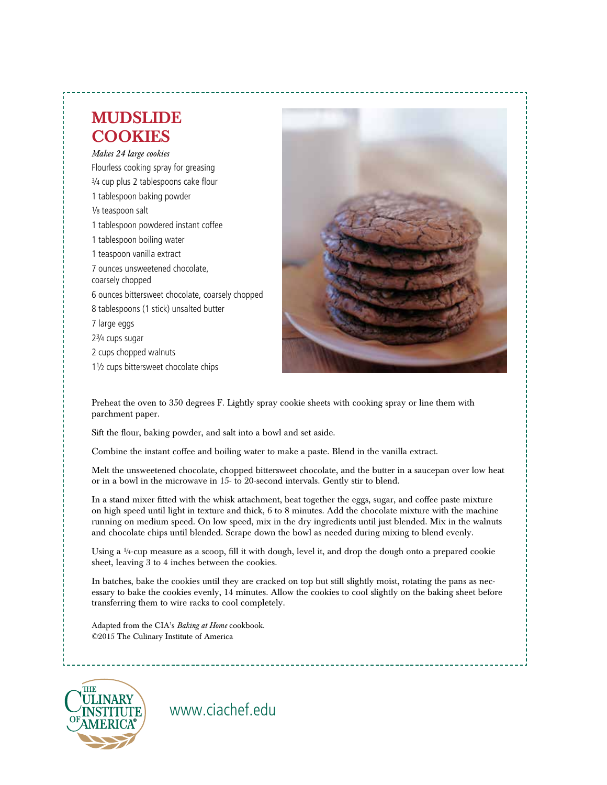# MUDSLIDE **COOKIES**

*Makes 24 large cookies* Flourless cooking spray for greasing 3⁄4 cup plus 2 tablespoons cake flour 1 tablespoon baking powder 1⁄8 teaspoon salt 1 tablespoon powdered instant coffee 1 tablespoon boiling water 1 teaspoon vanilla extract 7 ounces unsweetened chocolate, coarsely chopped 6 ounces bittersweet chocolate, coarsely chopped 8 tablespoons (1 stick) unsalted butter 7 large eggs 23⁄4 cups sugar 2 cups chopped walnuts 11⁄2 cups bittersweet chocolate chips



Preheat the oven to 350 degrees F. Lightly spray cookie sheets with cooking spray or line them with parchment paper.

Sift the flour, baking powder, and salt into a bowl and set aside.

Combine the instant coffee and boiling water to make a paste. Blend in the vanilla extract.

Melt the unsweetened chocolate, chopped bittersweet chocolate, and the butter in a saucepan over low heat or in a bowl in the microwave in 15- to 20-second intervals. Gently stir to blend.

In a stand mixer fitted with the whisk attachment, beat together the eggs, sugar, and coffee paste mixture on high speed until light in texture and thick, 6 to 8 minutes. Add the chocolate mixture with the machine running on medium speed. On low speed, mix in the dry ingredients until just blended. Mix in the walnuts and chocolate chips until blended. Scrape down the bowl as needed during mixing to blend evenly.

Using a  $\frac{1}{4}$ -cup measure as a scoop, fill it with dough, level it, and drop the dough onto a prepared cookie sheet, leaving 3 to 4 inches between the cookies.

In batches, bake the cookies until they are cracked on top but still slightly moist, rotating the pans as necessary to bake the cookies evenly, 14 minutes. Allow the cookies to cool slightly on the baking sheet before transferring them to wire racks to cool completely.

Adapted from the CIA's *Baking at Home* cookbook. ©2015 The Culinary Institute of America

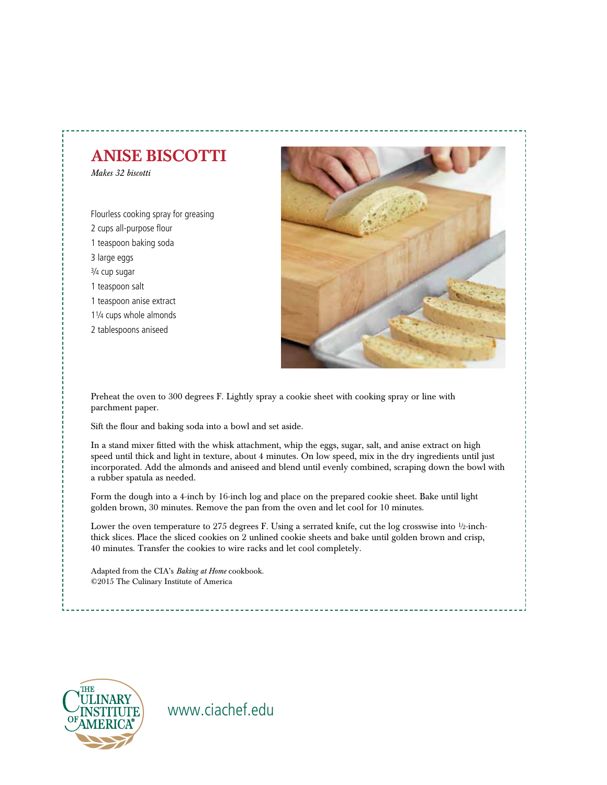# ANISE BISCOTTI

*Makes 32 biscotti*

Flourless cooking spray for greasing 2 cups all-purpose flour 1 teaspoon baking soda 3 large eggs 3⁄4 cup sugar 1 teaspoon salt 1 teaspoon anise extract 11⁄4 cups whole almonds 2 tablespoons aniseed



Preheat the oven to 300 degrees F. Lightly spray a cookie sheet with cooking spray or line with parchment paper.

Sift the flour and baking soda into a bowl and set aside.

In a stand mixer fitted with the whisk attachment, whip the eggs, sugar, salt, and anise extract on high speed until thick and light in texture, about 4 minutes. On low speed, mix in the dry ingredients until just incorporated. Add the almonds and aniseed and blend until evenly combined, scraping down the bowl with a rubber spatula as needed.

Form the dough into a 4-inch by 16-inch log and place on the prepared cookie sheet. Bake until light golden brown, 30 minutes. Remove the pan from the oven and let cool for 10 minutes.

Lower the oven temperature to 275 degrees F. Using a serrated knife, cut the log crosswise into 1⁄2-inchthick slices. Place the sliced cookies on 2 unlined cookie sheets and bake until golden brown and crisp, 40 minutes. Transfer the cookies to wire racks and let cool completely.

Adapted from the CIA's *Baking at Home* cookbook. ©2015 The Culinary Institute of America

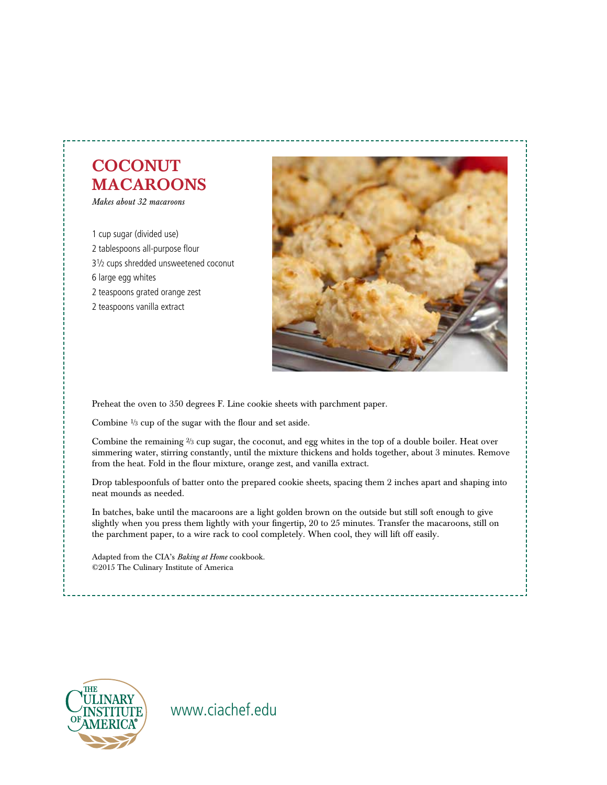# **COCONUT** MACAROONS

*Makes about 32 macaroons*

1 cup sugar (divided use) 2 tablespoons all-purpose flour 31⁄2 cups shredded unsweetened coconut 6 large egg whites 2 teaspoons grated orange zest 2 teaspoons vanilla extract



Preheat the oven to 350 degrees F. Line cookie sheets with parchment paper.

Combine 1⁄3 cup of the sugar with the flour and set aside.

Combine the remaining  $\frac{2}{3}$  cup sugar, the coconut, and egg whites in the top of a double boiler. Heat over simmering water, stirring constantly, until the mixture thickens and holds together, about 3 minutes. Remove from the heat. Fold in the flour mixture, orange zest, and vanilla extract.

Drop tablespoonfuls of batter onto the prepared cookie sheets, spacing them 2 inches apart and shaping into neat mounds as needed.

In batches, bake until the macaroons are a light golden brown on the outside but still soft enough to give slightly when you press them lightly with your fingertip, 20 to 25 minutes. Transfer the macaroons, still on the parchment paper, to a wire rack to cool completely. When cool, they will lift off easily.

Adapted from the CIA's *Baking at Home* cookbook. ©2015 The Culinary Institute of America

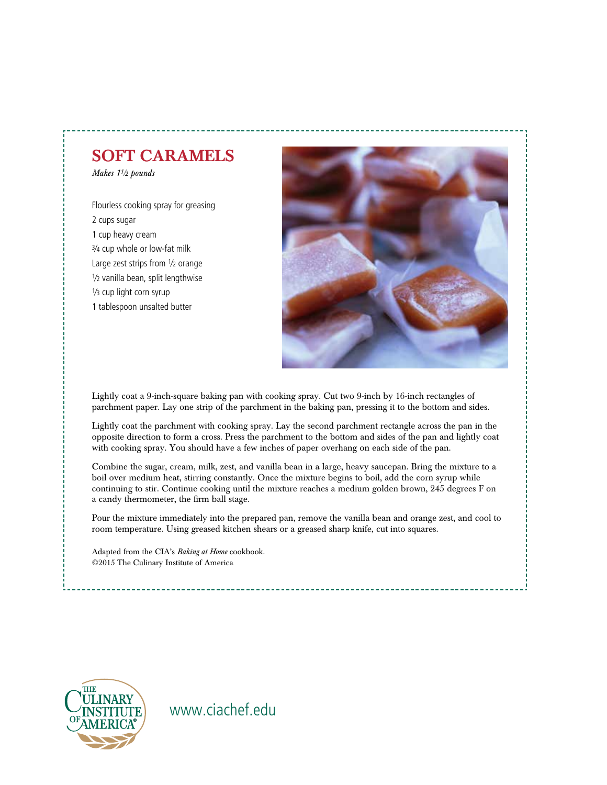## SOFT CARAMELS

*Makes 11⁄2 pounds*

Flourless cooking spray for greasing 2 cups sugar 1 cup heavy cream 3⁄4 cup whole or low-fat milk Large zest strips from 1/2 orange 1⁄2 vanilla bean, split lengthwise 1/<sub>3</sub> cup light corn syrup 1 tablespoon unsalted butter



Lightly coat a 9-inch-square baking pan with cooking spray. Cut two 9-inch by 16-inch rectangles of parchment paper. Lay one strip of the parchment in the baking pan, pressing it to the bottom and sides.

Lightly coat the parchment with cooking spray. Lay the second parchment rectangle across the pan in the opposite direction to form a cross. Press the parchment to the bottom and sides of the pan and lightly coat with cooking spray. You should have a few inches of paper overhang on each side of the pan.

Combine the sugar, cream, milk, zest, and vanilla bean in a large, heavy saucepan. Bring the mixture to a boil over medium heat, stirring constantly. Once the mixture begins to boil, add the corn syrup while continuing to stir. Continue cooking until the mixture reaches a medium golden brown, 245 degrees F on a candy thermometer, the firm ball stage.

Pour the mixture immediately into the prepared pan, remove the vanilla bean and orange zest, and cool to room temperature. Using greased kitchen shears or a greased sharp knife, cut into squares.

Adapted from the CIA's *Baking at Home* cookbook. ©2015 The Culinary Institute of America

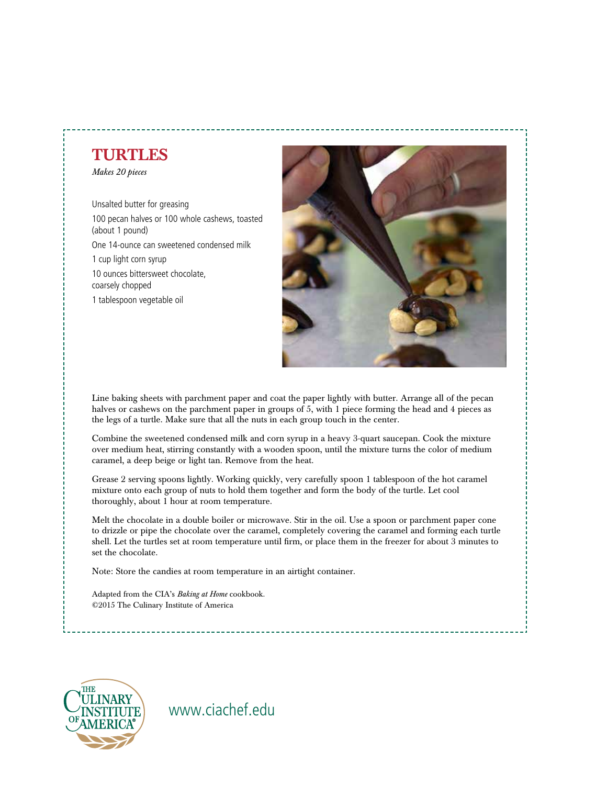# TURTLES

*Makes 20 pieces*

Unsalted butter for greasing 100 pecan halves or 100 whole cashews, toasted (about 1 pound) One 14-ounce can sweetened condensed milk 1 cup light corn syrup 10 ounces bittersweet chocolate, coarsely chopped 1 tablespoon vegetable oil



Line baking sheets with parchment paper and coat the paper lightly with butter. Arrange all of the pecan halves or cashews on the parchment paper in groups of 5, with 1 piece forming the head and 4 pieces as the legs of a turtle. Make sure that all the nuts in each group touch in the center.

Combine the sweetened condensed milk and corn syrup in a heavy 3-quart saucepan. Cook the mixture over medium heat, stirring constantly with a wooden spoon, until the mixture turns the color of medium caramel, a deep beige or light tan. Remove from the heat.

Grease 2 serving spoons lightly. Working quickly, very carefully spoon 1 tablespoon of the hot caramel mixture onto each group of nuts to hold them together and form the body of the turtle. Let cool thoroughly, about 1 hour at room temperature.

Melt the chocolate in a double boiler or microwave. Stir in the oil. Use a spoon or parchment paper cone to drizzle or pipe the chocolate over the caramel, completely covering the caramel and forming each turtle shell. Let the turtles set at room temperature until firm, or place them in the freezer for about 3 minutes to set the chocolate.

Note: Store the candies at room temperature in an airtight container.

Adapted from the CIA's *Baking at Home* cookbook. ©2015 The Culinary Institute of America

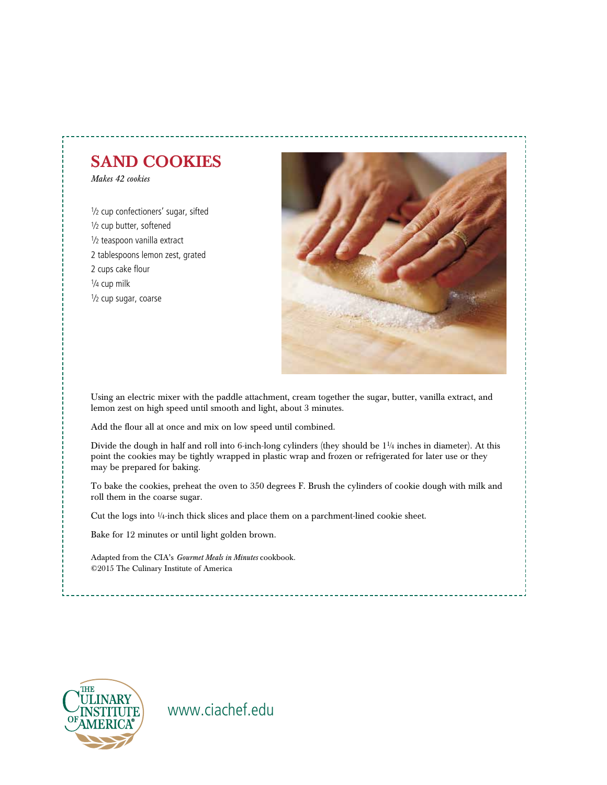# SAND COOKIES

*Makes 42 cookies* 

1/2 cup confectioners' sugar, sifted 1/<sub>2</sub> cup butter, softened 1⁄2 teaspoon vanilla extract 2 tablespoons lemon zest, grated 2 cups cake flour 1⁄4 cup milk 1⁄2 cup sugar, coarse



Using an electric mixer with the paddle attachment, cream together the sugar, butter, vanilla extract, and lemon zest on high speed until smooth and light, about 3 minutes.

Add the flour all at once and mix on low speed until combined.

Divide the dough in half and roll into 6-inch-long cylinders (they should be 11⁄4 inches in diameter). At this point the cookies may be tightly wrapped in plastic wrap and frozen or refrigerated for later use or they may be prepared for baking.

To bake the cookies, preheat the oven to 350 degrees F. Brush the cylinders of cookie dough with milk and roll them in the coarse sugar.

Cut the logs into 1⁄4-inch thick slices and place them on a parchment-lined cookie sheet.

Bake for 12 minutes or until light golden brown.

Adapted from the CIA's *Gourmet Meals in Minutes* cookbook. ©2015 The Culinary Institute of America

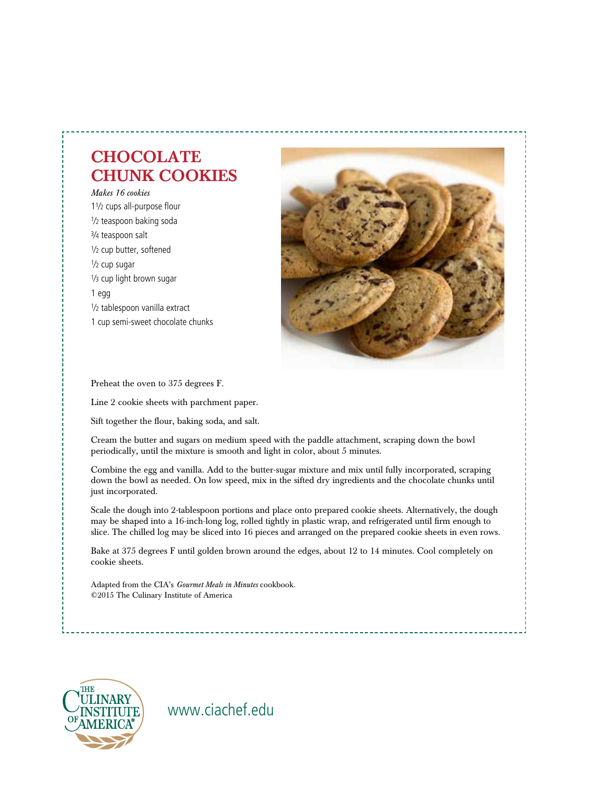# **CHOCOLATE** CHUNK COOKIES

*Makes 16 cookies* 11⁄2 cups all-purpose flour 1/<sub>2</sub> teaspoon baking soda 3⁄4 teaspoon salt 1/<sub>2</sub> cup butter, softened 1⁄2 cup sugar 1/<sub>3</sub> cup light brown sugar 1 egg 1⁄2 tablespoon vanilla extract 1 cup semi-sweet chocolate chunks



Preheat the oven to 375 degrees F.

Line 2 cookie sheets with parchment paper.

Sift together the flour, baking soda, and salt.

Cream the butter and sugars on medium speed with the paddle attachment, scraping down the bowl periodically, until the mixture is smooth and light in color, about 5 minutes.

Combine the egg and vanilla. Add to the butter-sugar mixture and mix until fully incorporated, scraping down the bowl as needed. On low speed, mix in the sifted dry ingredients and the chocolate chunks until just incorporated.

Scale the dough into 2-tablespoon portions and place onto prepared cookie sheets. Alternatively, the dough may be shaped into a 16-inch-long log, rolled tightly in plastic wrap, and refrigerated until firm enough to slice. The chilled log may be sliced into 16 pieces and arranged on the prepared cookie sheets in even rows.

Bake at 375 degrees F until golden brown around the edges, about 12 to 14 minutes. Cool completely on cookie sheets.

Adapted from the CIA's *Gourmet Meals in Minutes* cookbook. ©2015 The Culinary Institute of America

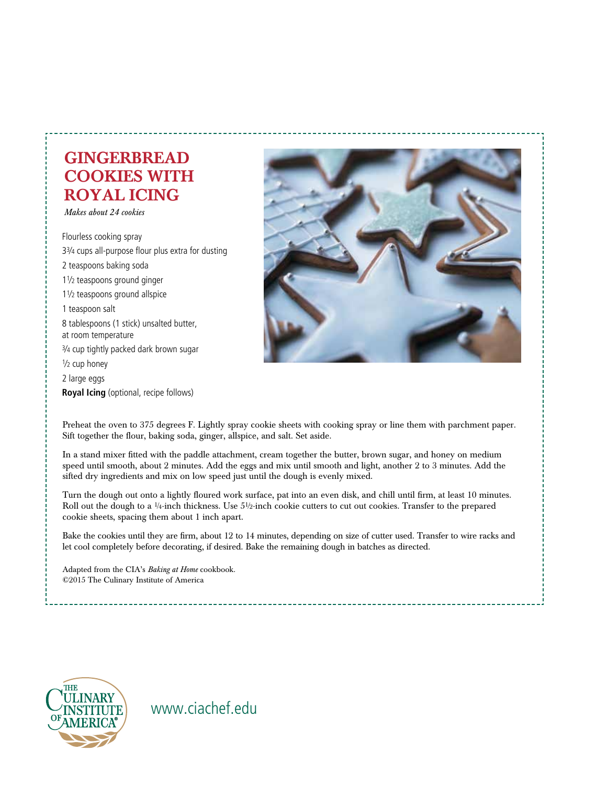# GINGERBREAD COOKIES WITH ROYAL ICING

*Makes about 24 cookies*

Flourless cooking spray 33⁄4 cups all-purpose flour plus extra for dusting 2 teaspoons baking soda 11⁄2 teaspoons ground ginger 11⁄2 teaspoons ground allspice 1 teaspoon salt 8 tablespoons (1 stick) unsalted butter, at room temperature 3⁄4 cup tightly packed dark brown sugar 1⁄2 cup honey 2 large eggs **Royal Icing** (optional, recipe follows)



Preheat the oven to 375 degrees F. Lightly spray cookie sheets with cooking spray or line them with parchment paper. Sift together the flour, baking soda, ginger, allspice, and salt. Set aside.

In a stand mixer fitted with the paddle attachment, cream together the butter, brown sugar, and honey on medium speed until smooth, about 2 minutes. Add the eggs and mix until smooth and light, another 2 to 3 minutes. Add the sifted dry ingredients and mix on low speed just until the dough is evenly mixed.

Turn the dough out onto a lightly floured work surface, pat into an even disk, and chill until firm, at least 10 minutes. Roll out the dough to a 1/4-inch thickness. Use 51/2-inch cookie cutters to cut out cookies. Transfer to the prepared cookie sheets, spacing them about 1 inch apart.

Bake the cookies until they are firm, about 12 to 14 minutes, depending on size of cutter used. Transfer to wire racks and let cool completely before decorating, if desired. Bake the remaining dough in batches as directed.

Adapted from the CIA's *Baking at Home* cookbook. ©2015 The Culinary Institute of America